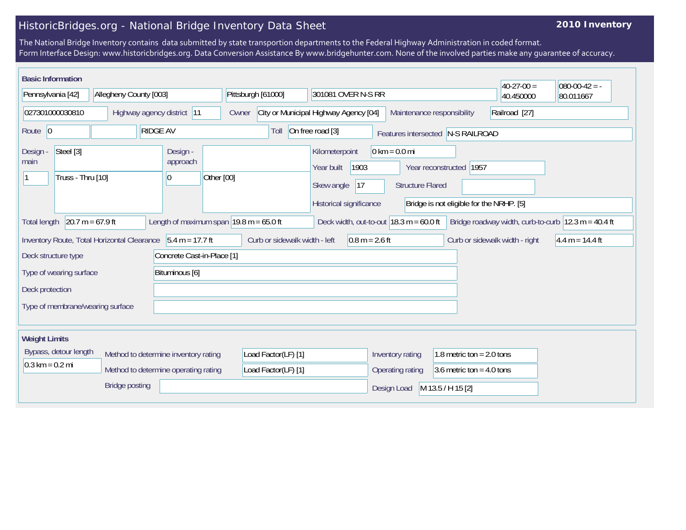## HistoricBridges.org - National Bridge Inventory Data Sheet

## **2010 Inventory**

The National Bridge Inventory contains data submitted by state transportion departments to the Federal Highway Administration in coded format. Form Interface Design: www.historicbridges.org. Data Conversion Assistance By www.bridgehunter.com. None of the involved parties make any guarantee of accuracy.

| <b>Basic Information</b>                           |                                             |                                          |                                                             |                                                                                      |                                                            |                                                                       | $40-27-00=$                    | $080-00-42 = -$                                                         |
|----------------------------------------------------|---------------------------------------------|------------------------------------------|-------------------------------------------------------------|--------------------------------------------------------------------------------------|------------------------------------------------------------|-----------------------------------------------------------------------|--------------------------------|-------------------------------------------------------------------------|
| Pennsylvania [42]                                  | Allegheny County [003]                      |                                          | Pittsburgh [61000]                                          | 301081 OVER N-S RR                                                                   |                                                            |                                                                       | 40.450000                      | 80.011667                                                               |
| 027301000030810                                    | Highway agency district 11                  |                                          | Owner                                                       | City or Municipal Highway Agency [04]                                                | Maintenance responsibility                                 |                                                                       | Railroad [27]                  |                                                                         |
| Route 0                                            | <b>RIDGE AV</b>                             |                                          | Toll                                                        | On free road [3]                                                                     |                                                            | Features intersected N-S RAILROAD                                     |                                |                                                                         |
| Steel [3]<br>Design -<br>main<br>Truss - Thru [10] |                                             | Design -<br>approach<br>Other [00]<br>10 |                                                             | Kilometerpoint<br>Year built<br>1903<br> 17<br>Skew angle<br>Historical significance | $0 \text{ km} = 0.0 \text{ mi}$<br><b>Structure Flared</b> | Year reconstructed   1957<br>Bridge is not eligible for the NRHP. [5] |                                |                                                                         |
| $20.7 m = 67.9 ft$<br><b>Total length</b>          |                                             |                                          | Length of maximum span $ 19.8 \text{ m} = 65.0 \text{ ft} $ | Deck width, out-to-out $18.3 \text{ m} = 60.0 \text{ ft}$                            |                                                            |                                                                       |                                | Bridge roadway width, curb-to-curb $ 12.3 \text{ m} = 40.4 \text{ ft} $ |
|                                                    | Inventory Route, Total Horizontal Clearance | $5.4 m = 17.7 ft$                        | Curb or sidewalk width - left                               | $0.8 m = 2.6 ft$                                                                     |                                                            |                                                                       | Curb or sidewalk width - right | $4.4 m = 14.4 ft$                                                       |
| Deck structure type                                |                                             | Concrete Cast-in-Place [1]               |                                                             |                                                                                      |                                                            |                                                                       |                                |                                                                         |
| Type of wearing surface                            |                                             | Bituminous [6]                           |                                                             |                                                                                      |                                                            |                                                                       |                                |                                                                         |
| Deck protection                                    |                                             |                                          |                                                             |                                                                                      |                                                            |                                                                       |                                |                                                                         |
| Type of membrane/wearing surface                   |                                             |                                          |                                                             |                                                                                      |                                                            |                                                                       |                                |                                                                         |
| <b>Weight Limits</b>                               |                                             |                                          |                                                             |                                                                                      |                                                            |                                                                       |                                |                                                                         |
| Bypass, detour length                              | Method to determine inventory rating        |                                          | Load Factor(LF) [1]                                         |                                                                                      | Inventory rating                                           | 1.8 metric ton = $2.0$ tons                                           |                                |                                                                         |
| $0.3 \text{ km} = 0.2 \text{ mi}$                  | Method to determine operating rating        |                                          | Load Factor(LF) [1]                                         |                                                                                      | Operating rating                                           | 3.6 metric ton = $4.0$ tons                                           |                                |                                                                         |
|                                                    | <b>Bridge posting</b>                       |                                          |                                                             |                                                                                      | Design Load                                                | M 13.5 / H 15 [2]                                                     |                                |                                                                         |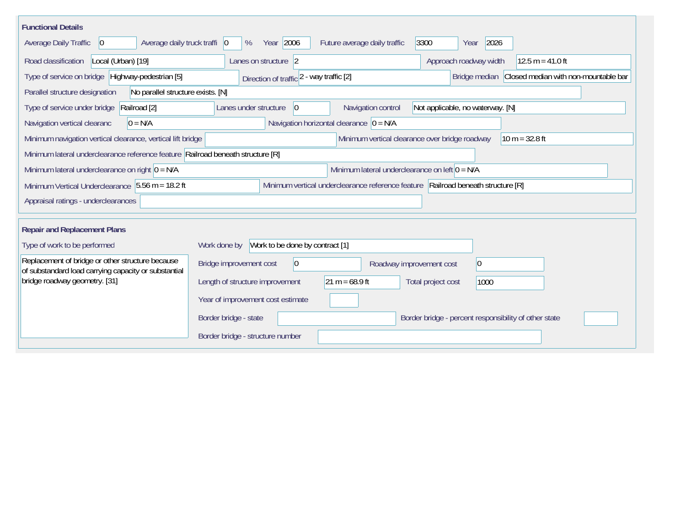| <b>Functional Details</b>                                                                                                            |                                                                                                |  |  |  |  |  |  |  |  |
|--------------------------------------------------------------------------------------------------------------------------------------|------------------------------------------------------------------------------------------------|--|--|--|--|--|--|--|--|
| Average daily truck traffi   0<br><b>Average Daily Traffic</b><br>$ 0\rangle$                                                        | Year 2006<br>3300<br>2026<br>%<br>Future average daily traffic<br>Year                         |  |  |  |  |  |  |  |  |
| Road classification<br>Local (Urban) [19]                                                                                            | Approach roadway width<br>$12.5 m = 41.0 ft$<br>Lanes on structure 2                           |  |  |  |  |  |  |  |  |
| Type of service on bridge Highway-pedestrian [5]                                                                                     | Bridge median Closed median with non-mountable bar<br>Direction of traffic 2 - way traffic [2] |  |  |  |  |  |  |  |  |
| Parallel structure designation<br>No parallel structure exists. [N]                                                                  |                                                                                                |  |  |  |  |  |  |  |  |
| Railroad [2]<br>Type of service under bridge                                                                                         | Navigation control<br>Not applicable, no waterway. [N]<br>Lanes under structure<br>$ 0\rangle$ |  |  |  |  |  |  |  |  |
| Navigation horizontal clearance $ 0 = N/A $<br>$0 = N/A$<br>Navigation vertical clearanc                                             |                                                                                                |  |  |  |  |  |  |  |  |
| Minimum vertical clearance over bridge roadway<br>Minimum navigation vertical clearance, vertical lift bridge<br>$10 m = 32.8 ft$    |                                                                                                |  |  |  |  |  |  |  |  |
| Minimum lateral underclearance reference feature Railroad beneath structure [R]                                                      |                                                                                                |  |  |  |  |  |  |  |  |
| Minimum lateral underclearance on left $0 = N/A$<br>Minimum lateral underclearance on right $0 = N/A$                                |                                                                                                |  |  |  |  |  |  |  |  |
| Minimum Vertical Underclearance 5.56 m = 18.2 ft<br>Minimum vertical underclearance reference feature Railroad beneath structure [R] |                                                                                                |  |  |  |  |  |  |  |  |
| Appraisal ratings - underclearances                                                                                                  |                                                                                                |  |  |  |  |  |  |  |  |
|                                                                                                                                      |                                                                                                |  |  |  |  |  |  |  |  |
| <b>Repair and Replacement Plans</b>                                                                                                  |                                                                                                |  |  |  |  |  |  |  |  |
| Type of work to be performed                                                                                                         | Work to be done by contract [1]<br>Work done by                                                |  |  |  |  |  |  |  |  |
| Replacement of bridge or other structure because<br>of substandard load carrying capacity or substantial                             | Bridge improvement cost<br>$ 0\rangle$<br>$ 0\rangle$<br>Roadway improvement cost              |  |  |  |  |  |  |  |  |
| bridge roadway geometry. [31]                                                                                                        | $21 m = 68.9 ft$<br>Length of structure improvement<br>Total project cost<br>1000              |  |  |  |  |  |  |  |  |
|                                                                                                                                      | Year of improvement cost estimate                                                              |  |  |  |  |  |  |  |  |
|                                                                                                                                      | Border bridge - state<br>Border bridge - percent responsibility of other state                 |  |  |  |  |  |  |  |  |
|                                                                                                                                      | Border bridge - structure number                                                               |  |  |  |  |  |  |  |  |